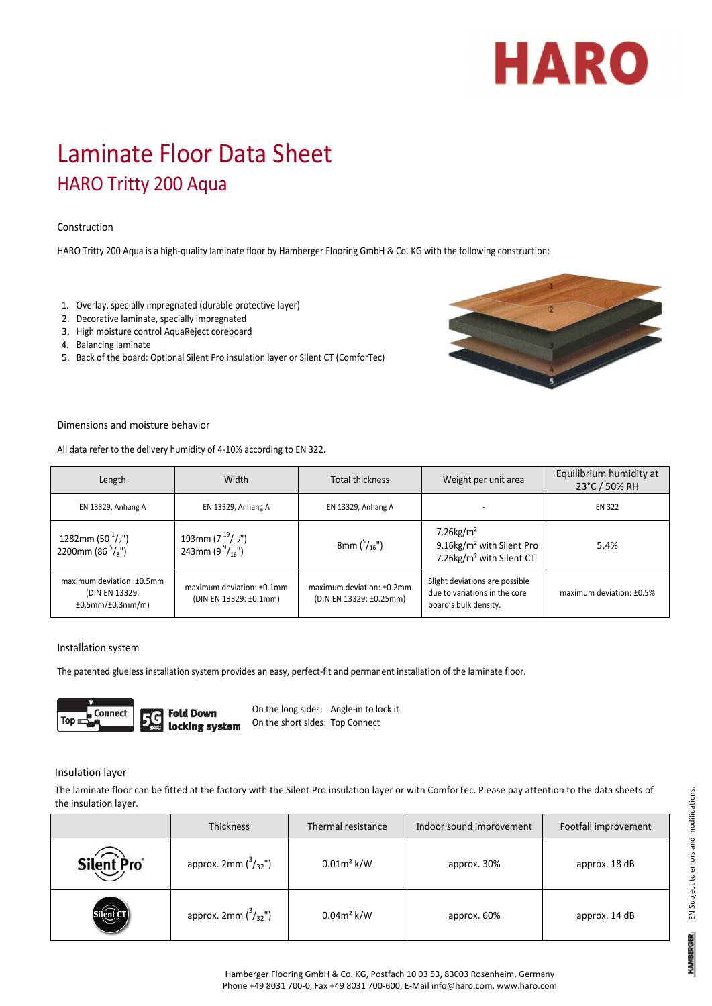# HARO

## Laminate Floor Data Sheet HARO Tritty 200 Aqua

### Construction

HARO Tritty 200 Aqua is a high-quality laminate floor by Hamberger Flooring GmbH & Co. KG with the following construction:

- 1. Overlay, specially impregnated (durable protective layer)
- 2. Decorative laminate, specially impregnated
- 3. High moisture control AquaReject coreboard
- 4. Balancing laminate
- 5. Back of the board: Optional Silent Pro insulation layer or Silent CT (ComforTec)



#### Dimensions and moisture behavior

All data refer to the delivery humidity of 4‐10% according to EN 322.

| Length                                                          | Width                                                  | <b>Total thickness</b>                               | Weight per unit area                                                                                      | Equilibrium humidity at<br>23°C / 50% RH |
|-----------------------------------------------------------------|--------------------------------------------------------|------------------------------------------------------|-----------------------------------------------------------------------------------------------------------|------------------------------------------|
| EN 13329, Anhang A                                              | EN 13329, Anhang A                                     | EN 13329, Anhang A                                   |                                                                                                           | <b>EN 322</b>                            |
| 1282mm (50 $^1/$ ,")<br>2200mm (86 $\frac{5}{8}$ ")             | 193mm (7 $^{19}/_{32}$ ")<br>243mm (9 $^{9}/_{16}$ ")  | 8mm $\binom{5}{16}$ ")                               | $7.26$ kg/m <sup>2</sup><br>9.16kg/m <sup>2</sup> with Silent Pro<br>7.26kg/m <sup>2</sup> with Silent CT | 5,4%                                     |
| maximum deviation: ±0.5mm<br>(DIN EN 13329:<br>±0,5mm/±0,3mm/m) | maximum deviation: $±0.1$ mm<br>(DIN EN 13329: ±0.1mm) | maximum deviation: ±0.2mm<br>(DIN EN 13329: ±0.25mm) | Slight deviations are possible<br>due to variations in the core<br>board's bulk density.                  | maximum deviation: ±0.5%                 |

#### Installation system

The patented glueless installation system provides an easy, perfect-fit and permanent installation of the laminate floor.



On the long sides: Angle‐in to lock it On the short sides: Top Connect

#### Insulation layer

The laminate floor can be fitted at the factory with the Silent Pro insulation layer or with ComforTec. Please pay attention to the data sheets of the insulation layer.

|            | <b>Thickness</b>               | Thermal resistance | Indoor sound improvement | Footfall improvement |
|------------|--------------------------------|--------------------|--------------------------|----------------------|
| Silent Pro | approx. 2mm $\binom{3}{32}$ ") | $0.01m^2$ k/W      | approx. 30%              | approx. 18 dB        |
|            | approx. 2mm $\binom{3}{32}$ ") | $0.04m^2$ k/W      | approx. 60%              | approx. 14 dB        |